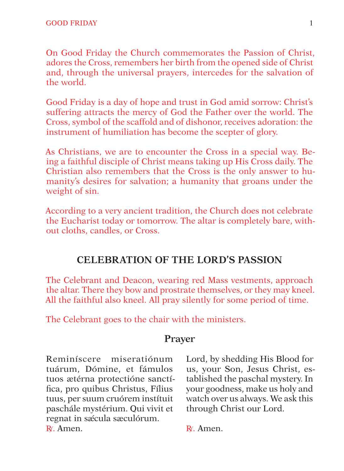On Good Friday the Church commemorates the Passion of Christ, adores the Cross, remembers her birth from the opened side of Christ and, through the universal prayers, intercedes for the salvation of the world.

Good Friday is a day of hope and trust in God amid sorrow: Christ's suffering attracts the mercy of God the Father over the world. The Cross, symbol of the scaffold and of dishonor, receives adoration: the instrument of humiliation has become the scepter of glory.

As Christians, we are to encounter the Cross in a special way. Being a faithful disciple of Christ means taking up His Cross daily. The Christian also remembers that the Cross is the only answer to humanity's desires for salvation; a humanity that groans under the weight of sin.

According to a very ancient tradition, the Church does not celebrate the Eucharist today or tomorrow. The altar is completely bare, without cloths, candles, or Cross.

# **CELEBRATION OF THE LORD'S PASSION**

The Celebrant and Deacon, wearing red Mass vestments, approach the altar. There they bow and prostrate themselves, or they may kneel. All the faithful also kneel. All pray silently for some period of time.

The Celebrant goes to the chair with the ministers.

# **Prayer**

Reminíscere miseratiónum tuárum, Dómine, et fámulos tuos ætérna protectióne sanctífica, pro quibus Christus, Fílius tuus, per suum cruórem instítuit paschále mystérium. Qui vivit et regnat in sæcula sæculórum. R<sup>∫</sup> . Amen.

Lord, by shedding His Blood for us, your Son, Jesus Christ, established the paschal mystery. In your goodness, make us holy and watch over us always. We ask this through Christ our Lord.

R<sup>∫</sup> . Amen.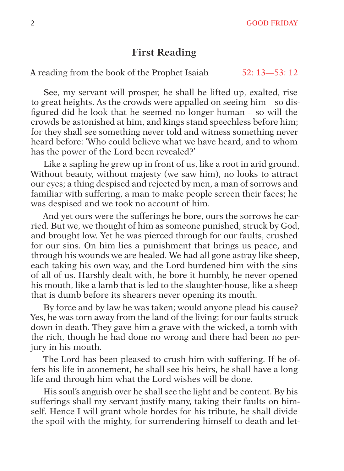# **First Reading**

A reading from the book of the Prophet Isaiah 52: 13—53: 12

See, my servant will prosper, he shall be lifted up, exalted, rise to great heights. As the crowds were appalled on seeing him – so disfigured did he look that he seemed no longer human – so will the crowds be astonished at him, and kings stand speechless before him; for they shall see something never told and witness something never heard before: 'Who could believe what we have heard, and to whom has the power of the Lord been revealed?'

Like a sapling he grew up in front of us, like a root in arid ground. Without beauty, without majesty (we saw him), no looks to attract our eyes; a thing despised and rejected by men, a man of sorrows and familiar with suffering, a man to make people screen their faces; he was despised and we took no account of him.

And yet ours were the sufferings he bore, ours the sorrows he carried. But we, we thought of him as someone punished, struck by God, and brought low. Yet he was pierced through for our faults, crushed for our sins. On him lies a punishment that brings us peace, and through his wounds we are healed. We had all gone astray like sheep, each taking his own way, and the Lord burdened him with the sins of all of us. Harshly dealt with, he bore it humbly, he never opened his mouth, like a lamb that is led to the slaughter-house, like a sheep that is dumb before its shearers never opening its mouth.

By force and by law he was taken; would anyone plead his cause? Yes, he was torn away from the land of the living; for our faults struck down in death. They gave him a grave with the wicked, a tomb with the rich, though he had done no wrong and there had been no perjury in his mouth.

The Lord has been pleased to crush him with suffering. If he offers his life in atonement, he shall see his heirs, he shall have a long life and through him what the Lord wishes will be done.

His soul's anguish over he shall see the light and be content. By his sufferings shall my servant justify many, taking their faults on himself. Hence I will grant whole hordes for his tribute, he shall divide the spoil with the mighty, for surrendering himself to death and let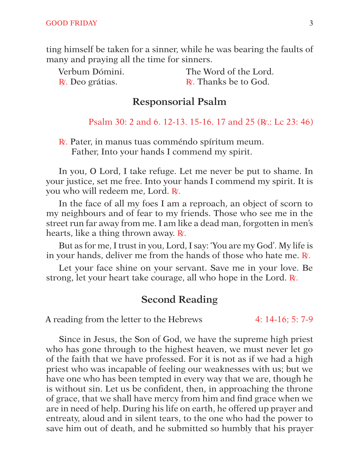ting himself be taken for a sinner, while he was bearing the faults of many and praying all the time for sinners.

Verbum Dómini. The Word of the Lord. R∫. Deo grátias. R∫. Thanks be to God.

# **Responsorial Psalm**

Psalm 30: 2 and 6, 12-13, 15-16, 17 and 25 (R∴ Lc 23: 46)

R√. Pater, in manus tuas comméndo spíritum meum. Father, Into your hands I commend my spirit.

In you, O Lord, I take refuge. Let me never be put to shame. In your justice, set me free. Into your hands I commend my spirit. It is you who will redeem me, Lord. R<sup>∫</sup> .

In the face of all my foes I am a reproach, an object of scorn to my neighbours and of fear to my friends. Those who see me in the street run far away from me. I am like a dead man, forgotten in men's hearts, like a thing thrown away. R∫.

But as for me, I trust in you, Lord, I say: 'You are my God'. My life is in your hands, deliver me from the hands of those who hate me. R<sup>∫</sup> .

Let your face shine on your servant. Save me in your love. Be strong, let your heart take courage, all who hope in the Lord. R.

# **Second Reading**

A reading from the letter to the Hebrews 4: 14-16; 5: 7-9

Since in Jesus, the Son of God, we have the supreme high priest who has gone through to the highest heaven, we must never let go of the faith that we have professed. For it is not as if we had a high priest who was incapable of feeling our weaknesses with us; but we have one who has been tempted in every way that we are, though he is without sin. Let us be confident, then, in approaching the throne of grace, that we shall have mercy from him and find grace when we are in need of help. During his life on earth, he offered up prayer and entreaty, aloud and in silent tears, to the one who had the power to save him out of death, and he submitted so humbly that his prayer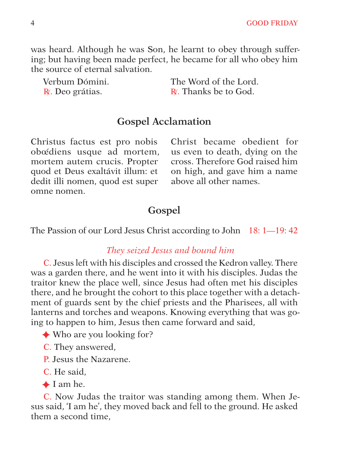4 GOOD FRIDAY

was heard. Although he was Son, he learnt to obey through suffering; but having been made perfect, he became for all who obey him the source of eternal salvation.

Verbum Dómini. The Word of the Lord. R∫. Deo grátias. R∫ . Thanks be to God.

# **Gospel Acclamation**

Christus factus est pro nobis obœdiens usque ad mortem, mortem autem crucis. Propter quod et Deus exaltávit illum: et dedit illi nomen, quod est super omne nomen.

Christ became obedient for us even to death, dying on the cross. Therefore God raised him on high, and gave him a name above all other names.

# **Gospel**

The Passion of our Lord Jesus Christ according to John 18: 1—19: 42

#### *They seized Jesus and bound him*

C. Jesus left with his disciples and crossed the Kedron valley. There was a garden there, and he went into it with his disciples. Judas the traitor knew the place well, since Jesus had often met his disciples there, and he brought the cohort to this place together with a detachment of guards sent by the chief priests and the Pharisees, all with lanterns and torches and weapons. Knowing everything that was going to happen to him, Jesus then came forward and said,

✦ Who are you looking for?

C. They answered,

P. Jesus the Nazarene.

C. He said,

✦ I am he.

C. Now Judas the traitor was standing among them. When Jesus said, 'I am he', they moved back and fell to the ground. He asked them a second time,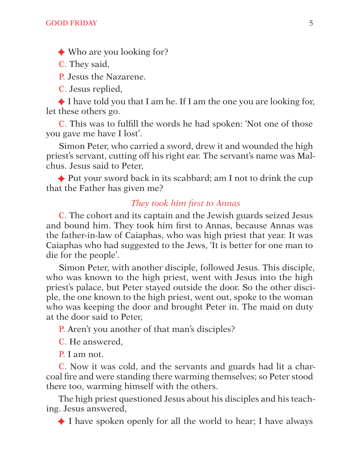✦ Who are you looking for?

C. They said,

P. Jesus the Nazarene.

C. Jesus replied,

 $\triangle$  I have told you that I am he. If I am the one you are looking for, let these others go.

C. This was to fulfill the words he had spoken: 'Not one of those you gave me have I lost'.

Simon Peter, who carried a sword, drew it and wounded the high priest's servant, cutting off his right ear. The servant's name was Malchus. Jesus said to Peter,

✦ Put your sword back in its scabbard; am I not to drink the cup that the Father has given me?

## *They took him first to Annas*

C. The cohort and its captain and the Jewish guards seized Jesus and bound him. They took him first to Annas, because Annas was the father-in-law of Caiaphas, who was high priest that year. It was Caiaphas who had suggested to the Jews, 'It is better for one man to die for the people'.

Simon Peter, with another disciple, followed Jesus. This disciple, who was known to the high priest, went with Jesus into the high priest's palace, but Peter stayed outside the door. So the other disciple, the one known to the high priest, went out, spoke to the woman who was keeping the door and brought Peter in. The maid on duty at the door said to Peter,

P. Aren't you another of that man's disciples?

C. He answered,

P. I am not.

C. Now it was cold, and the servants and guards had lit a charcoal fire and were standing there warming themselves; so Peter stood there too, warming himself with the others.

The high priest questioned Jesus about his disciples and his teaching. Jesus answered,

 $\triangle$  I have spoken openly for all the world to hear; I have always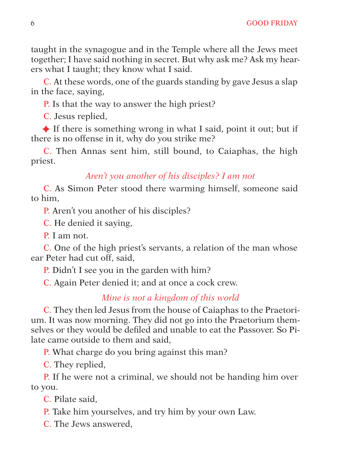6 GOOD FRIDAY

taught in the synagogue and in the Temple where all the Jews meet together; I have said nothing in secret. But why ask me? Ask my hearers what I taught; they know what I said.

C. At these words, one of the guards standing by gave Jesus a slap in the face, saying,

P. Is that the way to answer the high priest?

C. Jesus replied,

 $\triangle$  If there is something wrong in what I said, point it out; but if there is no offense in it, why do you strike me?

C. Then Annas sent him, still bound, to Caiaphas, the high priest.

## *Aren't you another of his disciples? I am not*

C. As Simon Peter stood there warming himself, someone said to him,

P. Aren't you another of his disciples?

C. He denied it saying,

P. I am not.

C. One of the high priest's servants, a relation of the man whose ear Peter had cut off, said,

P. Didn't I see you in the garden with him?

C. Again Peter denied it; and at once a cock crew.

## *Mine is not a kingdom of this world*

C. They then led Jesus from the house of Caiaphas to the Praetorium. It was now morning. They did not go into the Praetorium themselves or they would be defiled and unable to eat the Passover. So Pilate came outside to them and said,

P. What charge do you bring against this man?

C. They replied,

P. If he were not a criminal, we should not be handing him over to you.

C. Pilate said,

P. Take him yourselves, and try him by your own Law.

C. The Jews answered,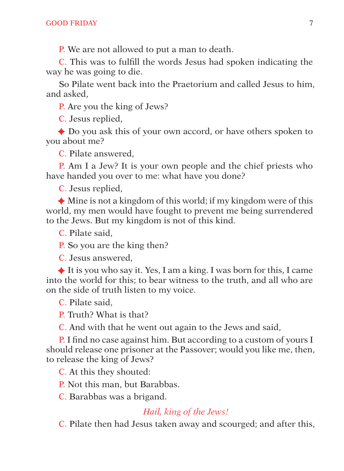P. We are not allowed to put a man to death.

C. This was to fulfill the words Jesus had spoken indicating the way he was going to die.

So Pilate went back into the Praetorium and called Jesus to him, and asked,

P. Are you the king of Jews?

C. Jesus replied,

✦ Do you ask this of your own accord, or have others spoken to you about me?

C. Pilate answered,

P. Am I a Jew? It is your own people and the chief priests who have handed you over to me: what have you done?

C. Jesus replied,

 $\triangle$  Mine is not a kingdom of this world; if my kingdom were of this world, my men would have fought to prevent me being surrendered to the Jews. But my kingdom is not of this kind.

C. Pilate said,

P. So you are the king then?

C. Jesus answered,

 $\triangle$  It is you who say it. Yes, I am a king. I was born for this, I came into the world for this; to bear witness to the truth, and all who are on the side of truth listen to my voice.

C. Pilate said,

P. Truth? What is that?

C. And with that he went out again to the Jews and said,

P. I find no case against him. But according to a custom of yours I should release one prisoner at the Passover; would you like me, then, to release the king of Jews?

C. At this they shouted:

P. Not this man, but Barabbas.

C. Barabbas was a brigand.

## *Hail, king of the Jews!*

C. Pilate then had Jesus taken away and scourged; and after this,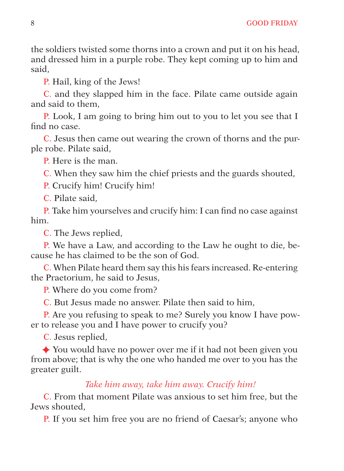the soldiers twisted some thorns into a crown and put it on his head, and dressed him in a purple robe. They kept coming up to him and said,

P. Hail, king of the Jews!

C. and they slapped him in the face. Pilate came outside again and said to them,

P. Look, I am going to bring him out to you to let you see that I find no case.

C. Jesus then came out wearing the crown of thorns and the purple robe. Pilate said,

P. Here is the man.

C. When they saw him the chief priests and the guards shouted,

P. Crucify him! Crucify him!

C. Pilate said,

P. Take him yourselves and crucify him: I can find no case against him.

C. The Jews replied,

P. We have a Law, and according to the Law he ought to die, because he has claimed to be the son of God.

C. When Pilate heard them say this his fears increased. Re-entering the Praetorium, he said to Jesus,

P. Where do you come from?

C. But Jesus made no answer. Pilate then said to him,

P. Are you refusing to speak to me? Surely you know I have power to release you and I have power to crucify you?

C. Jesus replied,

✦ You would have no power over me if it had not been given you from above; that is why the one who handed me over to you has the greater guilt.

#### *Take him away, take him away. Crucify him!*

C. From that moment Pilate was anxious to set him free, but the Jews shouted,

P. If you set him free you are no friend of Caesar's; anyone who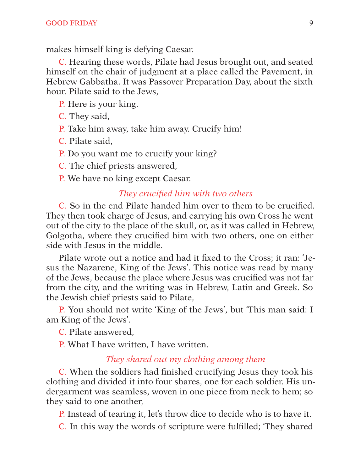makes himself king is defying Caesar.

C. Hearing these words, Pilate had Jesus brought out, and seated himself on the chair of judgment at a place called the Pavement, in Hebrew Gabbatha. It was Passover Preparation Day, about the sixth hour. Pilate said to the Jews,

P. Here is your king.

C. They said,

P. Take him away, take him away. Crucify him!

C. Pilate said,

P. Do you want me to crucify your king?

C. The chief priests answered,

P. We have no king except Caesar.

# *They crucified him with two others*

C. So in the end Pilate handed him over to them to be crucified. They then took charge of Jesus, and carrying his own Cross he went out of the city to the place of the skull, or, as it was called in Hebrew, Golgotha, where they crucified him with two others, one on either side with Jesus in the middle.

Pilate wrote out a notice and had it fixed to the Cross; it ran: 'Jesus the Nazarene, King of the Jews'. This notice was read by many of the Jews, because the place where Jesus was crucified was not far from the city, and the writing was in Hebrew, Latin and Greek. So the Jewish chief priests said to Pilate,

P. You should not write 'King of the Jews', but 'This man said: I am King of the Jews'.

C. Pilate answered,

P. What I have written, I have written.

## *They shared out my clothing among them*

C. When the soldiers had finished crucifying Jesus they took his clothing and divided it into four shares, one for each soldier. His undergarment was seamless, woven in one piece from neck to hem; so they said to one another,

P. Instead of tearing it, let's throw dice to decide who is to have it.

C. In this way the words of scripture were fulfilled; 'They shared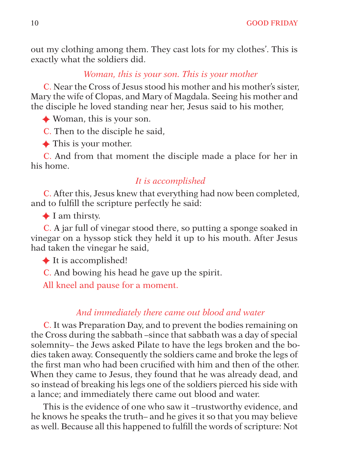out my clothing among them. They cast lots for my clothes'. This is exactly what the soldiers did.

# *Woman, this is your son. This is your mother*

C. Near the Cross of Jesus stood his mother and his mother's sister, Mary the wife of Clopas, and Mary of Magdala. Seeing his mother and the disciple he loved standing near her, Jesus said to his mother,

✦ Woman, this is your son.

C. Then to the disciple he said,

✦ This is your mother.

C. And from that moment the disciple made a place for her in his home.

## *It is accomplished*

C. After this, Jesus knew that everything had now been completed, and to fulfill the scripture perfectly he said:

 $\triangle$  I am thirsty.

C. A jar full of vinegar stood there, so putting a sponge soaked in vinegar on a hyssop stick they held it up to his mouth. After Jesus had taken the vinegar he said,

 $\triangle$  It is accomplished!

C. And bowing his head he gave up the spirit.

All kneel and pause for a moment.

## *And immediately there came out blood and water*

C. It was Preparation Day, and to prevent the bodies remaining on the Cross during the sabbath –since that sabbath was a day of special solemnity– the Jews asked Pilate to have the legs broken and the bodies taken away. Consequently the soldiers came and broke the legs of the first man who had been crucified with him and then of the other. When they came to Jesus, they found that he was already dead, and so instead of breaking his legs one of the soldiers pierced his side with a lance; and immediately there came out blood and water.

This is the evidence of one who saw it –trustworthy evidence, and he knows he speaks the truth– and he gives it so that you may believe as well. Because all this happened to fulfill the words of scripture: Not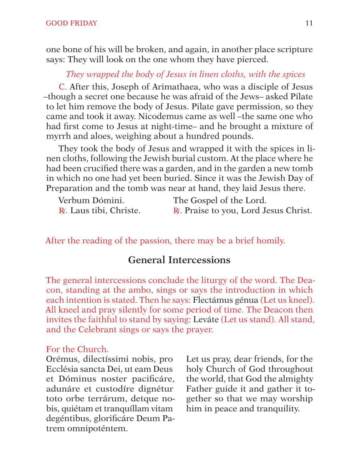one bone of his will be broken, and again, in another place scripture says: They will look on the one whom they have pierced.

*They wrapped the body of Jesus in linen cloths, with the spices*

C. After this, Joseph of Arimathaea, who was a disciple of Jesus –though a secret one because he was afraid of the Jews– asked Pilate to let him remove the body of Jesus. Pilate gave permission, so they came and took it away. Nicodemus came as well –the same one who had first come to Jesus at night-time– and he brought a mixture of myrrh and aloes, weighing about a hundred pounds.

They took the body of Jesus and wrapped it with the spices in linen cloths, following the Jewish burial custom. At the place where he had been crucified there was a garden, and in the garden a new tomb in which no one had yet been buried. Since it was the Jewish Day of Preparation and the tomb was near at hand, they laid Jesus there.

| Verbum Dómini.         | The Gospel of the Lord.              |
|------------------------|--------------------------------------|
| R. Laus tibi, Christe. | R. Praise to you, Lord Jesus Christ. |

After the reading of the passion, there may be a brief homily.

# **General Intercessions**

The general intercessions conclude the liturgy of the word. The Deacon, standing at the ambo, sings or says the introduction in which each intention is stated. Then he says: Flectámus génua (Let us kneel). All kneel and pray silently for some period of time. The Deacon then invites the faithful to stand by saying: Leváte (Let us stand). All stand, and the Celebrant sings or says the prayer.

#### For the Church.

Orémus, dilectíssimi nobis, pro Ecclésia sancta Dei, ut eam Deus et Dóminus noster pacificáre, adunáre et custodíre dignétur toto orbe terrárum, detque nobis, quiétam et tranquíllam vitam degéntibus, glorificáre Deum Patrem omnipoténtem.

Let us pray, dear friends, for the holy Church of God throughout the world, that God the almighty Father guide it and gather it together so that we may worship him in peace and tranquility.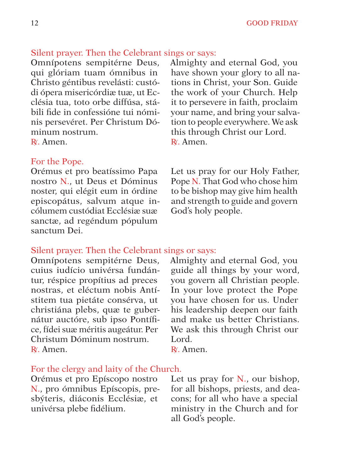#### Silent prayer. Then the Celebrant sings or says:

Omnípotens sempitérne Deus, qui glóriam tuam ómnibus in Christo géntibus revelásti: custódi ópera misericórdiæ tuæ, ut Ecclésia tua, toto orbe diffúsa, stábili fide in confessióne tui nóminis persevéret. Per Christum Dóminum nostrum.

R∕ Amen.

#### For the Pope.

Orémus et pro beatíssimo Papa nostro N., ut Deus et Dóminus noster, qui elégit eum in órdine episcopátus, salvum atque incólumem custódiat Ecclésiæ suæ sanctæ, ad regéndum pópulum sanctum Dei.

Almighty and eternal God, you have shown your glory to all nations in Christ, your Son. Guide the work of your Church. Help it to persevere in faith, proclaim your name, and bring your salvation to people everywhere. We ask this through Christ our Lord. R∕ Amen.

Let us pray for our Holy Father, Pope N. That God who chose him to be bishop may give him health and strength to guide and govern God's holy people.

#### Silent prayer. Then the Celebrant sings or says:

Omnípotens sempitérne Deus, cuius iudício univérsa fundántur, réspice propítius ad preces nostras, et eléctum nobis Antístitem tua pietáte consérva, ut christiána plebs, quæ te gubernátur auctóre, sub ipso Pontífice, fídei suæ méritis augeátur. Per Christum Dóminum nostrum. R∕ Amen

Almighty and eternal God, you guide all things by your word, you govern all Christian people. In your love protect the Pope you have chosen for us. Under his leadership deepen our faith and make us better Christians. We ask this through Christ our Lord.

R<sup>∫</sup> . Amen.

#### For the clergy and laity of the Church.

Orémus et pro Epíscopo nostro N., pro ómnibus Epíscopis, presbýteris, diáconis Ecclésiæ, et univérsa plebe fidélium.

Let us pray for N., our bishop, for all bishops, priests, and deacons; for all who have a special ministry in the Church and for all God's people.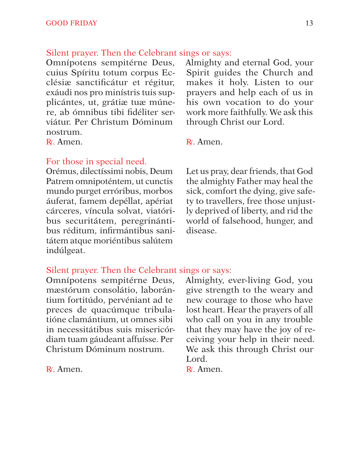## Silent prayer. Then the Celebrant sings or says:

Omnípotens sempitérne Deus, cuius Spíritu totum corpus Ecclésiæ sanctificátur et régitur, exáudi nos pro minístris tuis supplicántes, ut, grátiæ tuæ múnere, ab ómnibus tibi fidéliter serviátur. Per Christum Dóminum nostrum.

R<sup>∫</sup> . Amen.

## For those in special need.

Orémus, dilectíssimi nobis, Deum Patrem omnipoténtem, ut cunctis mundo purget erróribus, morbos áuferat, famem depéllat, apériat cárceres, víncula solvat, viatóribus securitátem, peregrinántibus réditum, infirmántibus sanitátem atque moriéntibus salútem indúlgeat.

Almighty and eternal God, your Spirit guides the Church and makes it holy. Listen to our prayers and help each of us in his own vocation to do your work more faithfully. We ask this through Christ our Lord.

R∕ Amen.

Let us pray, dear friends, that God the almighty Father may heal the sick, comfort the dying, give safety to travellers, free those unjustly deprived of liberty, and rid the world of falsehood, hunger, and disease.

#### Silent prayer. Then the Celebrant sings or says:

Omnípotens sempitérne Deus, mæstórum consolátio, laborántium fortitúdo, pervéniant ad te preces de quacúmque tribulatióne clamántium, ut omnes sibi in necessitátibus suis misericórdiam tuam gáudeant affuísse. Per Christum Dóminum nostrum.

R<sup>∫</sup> . Amen.

Almighty, ever-living God, you give strength to the weary and new courage to those who have lost heart. Hear the prayers of all who call on you in any trouble that they may have the joy of receiving your help in their need. We ask this through Christ our Lord.

R<sup>∫</sup> . Amen.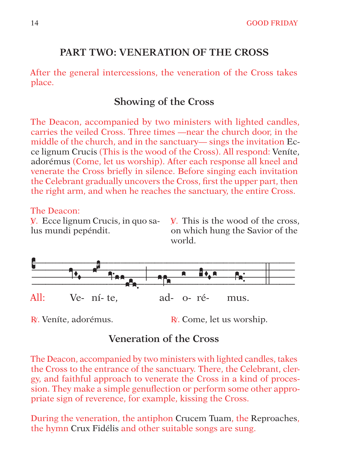# **PART TWO: VENERATION OF THE CROSS**

After the general intercessions, the veneration of the Cross takes place.

# **Showing of the Cross**

The Deacon, accompanied by two ministers with lighted candles, carries the veiled Cross. Three times —near the church door, in the middle of the church, and in the sanctuary— sings the invitation Ecce lignum Crucis (This is the wood of the Cross). All respond: Veníte, adorémus (Come, let us worship). After each response all kneel and venerate the Cross briefly in silence. Before singing each invitation the Celebrant gradually uncovers the Cross, first the upper part, then the right arm, and when he reaches the sanctuary, the entire Cross.

#### The Deacon:

lus mundi pepéndit.

**y**. Ecce lignum Crucis, in quo sa- y. This is the wood of the cross, on which hung the Savior of the world.



R<sup>∫</sup> . Veníte, adorémus.

R⊖ Come, let us worship.

# **Veneration of the Cross**

The Deacon, accompanied by two ministers with lighted candles, takes the Cross to the entrance of the sanctuary. There, the Celebrant, clergy, and faithful approach to venerate the Cross in a kind of procession. They make a simple genuflection or perform some other appropriate sign of reverence, for example, kissing the Cross.

During the veneration, the antiphon Crucem Tuam, the Reproaches, the hymn Crux Fidélis and other suitable songs are sung.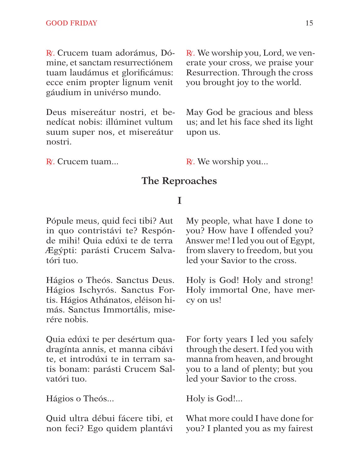R<sup>∫</sup> . Crucem tuam adorámus, Dómine, et sanctam resurrectiónem tuam laudámus et glorificámus: ecce enim propter lignum venit gáudium in univérso mundo.

Deus misereátur nostri, et benedícat nobis: illúminet vultum suum super nos, et misereátur nostri.

 $R$   $Crucem$  tuam...

R⊄. We worship you, Lord, we venerate your cross, we praise your Resurrection. Through the cross you brought joy to the world.

May God be gracious and bless us; and let his face shed its light upon us.

R∫. We worship you...

# **The Reproaches**

# **I**

Pópule meus, quid feci tibi? Aut in quo contristávi te? Respónde mihi! Quia edúxi te de terra Ægýpti: parásti Crucem Salvatóri tuo.

Hágios o Theós. Sanctus Deus. Hágios Ischyrós. Sanctus Fortis. Hágios Athánatos, eléison himás. Sanctus Immortális, miserére nobis.

Quia edúxi te per desértum quadragínta annis, et manna cibávi te, et introdúxi te in terram satis bonam: parásti Crucem Salvatóri tuo.

Hágios o Theós...

Quid ultra débui fácere tibi, et non feci? Ego quidem plantávi

My people, what have I done to you? How have I offended you? Answer me! I led you out of Egypt, from slavery to freedom, but you led your Savior to the cross.

Holy is God! Holy and strong! Holy immortal One, have mercy on us!

For forty years I led you safely through the desert. I fed you with manna from heaven, and brought you to a land of plenty; but you led your Savior to the cross.

Holy is God!...

What more could I have done for you? I planted you as my fairest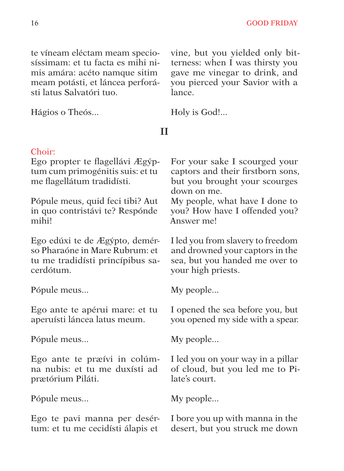te víneam eléctam meam speciosíssimam: et tu facta es mihi nimis amára: acéto namque sitim meam potásti, et láncea perforásti latus Salvatóri tuo.

Hágios o Theós...

vine, but you yielded only bitterness: when I was thirsty you gave me vinegar to drink, and you pierced your Savior with a lance.

Holy is God!...

## **II**

#### Choir:

Ego propter te flagellávi Ægýptum cum primogénitis suis: et tu me flagellátum tradidísti.

Pópule meus, quid feci tibi? Aut in quo contristávi te? Respónde mihi!

Ego edúxi te de Ægýpto, demérso Pharaóne in Mare Rubrum: et tu me tradidísti princípibus sacerdótum.

Pópule meus...

Ego ante te apérui mare: et tu aperuísti láncea latus meum.

Pópule meus...

Ego ante te præívi in colúmna nubis: et tu me duxísti ad prætórium Piláti.

Pópule meus...

Ego te pavi manna per desértum: et tu me cecidísti álapis et

For your sake I scourged your captors and their firstborn sons, but you brought your scourges down on me.

My people, what have I done to you? How have I offended you? Answer me!

I led you from slavery to freedom and drowned your captors in the sea, but you handed me over to your high priests.

My people...

I opened the sea before you, but you opened my side with a spear.

My people...

I led you on your way in a pillar of cloud, but you led me to Pilate's court.

My people...

I bore you up with manna in the desert, but you struck me down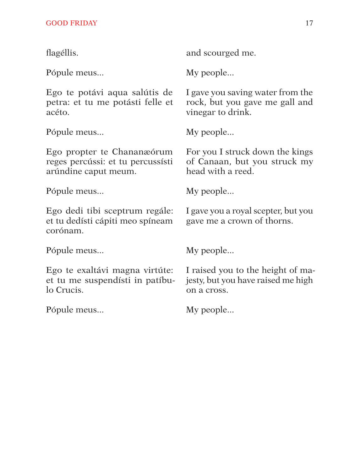flagéllis.

Pópule meus...

Ego te potávi aqua salútis de petra: et tu me potásti felle et acéto.

Pópule meus...

Ego propter te Chananæórum reges percússi: et tu percussísti arúndine caput meum.

Pópule meus...

Ego dedi tibi sceptrum regále: et tu dedísti cápiti meo spíneam corónam.

Pópule meus...

Ego te exaltávi magna virtúte: et tu me suspendísti in patíbulo Crucis.

Pópule meus...

and scourged me.

My people...

I gave you saving water from the rock, but you gave me gall and vinegar to drink.

My people...

For you I struck down the kings of Canaan, but you struck my head with a reed.

My people...

I gave you a royal scepter, but you gave me a crown of thorns.

My people...

I raised you to the height of majesty, but you have raised me high on a cross.

My people...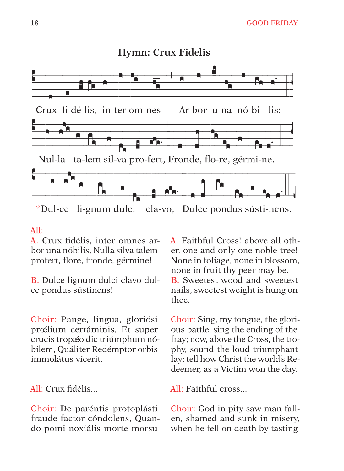# **Hymn: Crux Fidelis** }====2====3===y=+h===+6===+8==+k=====+zhz====/==7====8=+=Z **=** i<br>i<br>i =<br>=<br>=  $\begin{array}{c} \begin{array}{c} \begin{array}{c} \begin{array}{c} \end{array}\\ \begin{array}{c} \end{array} \end{array} \end{array} \end{array} \end{array}$  $\frac{1}{\sqrt{2}}$  Crux fi-dé-lis, in-ter om-nes Ar-bor u-na nó-bi- lis: }==+6===6k==+5==+G====+4==+s====e===3"=Q==Ö===+2====¹===+h==+d===+4====d==+2Q=+=\==M Nul-la ta-lem sil-va pro-fert, Fronde, flo-re, gérmi-ne. }====+6===6k==+5===++G===+=+4+=+s====+e=+=3"=Q==Ö=+=2==¹===+h===++d==+=4==+d=+=+2Q=+|=' \*Dul-ce li-gnum dulci cla-vo, Dulce pondus sústi-nens.

# All:

A. Crux fidélis, inter omnes arbor una nóbilis, Nulla silva talem profert, flore, fronde, gérmine!

B. Dulce lignum dulci clavo dulce pondus sústinens!

Choir: Pange, lingua, gloriósi prœ<sup>il</sup>ium certáminis, Et super crucis tropæ´o dic triúmphum nóbilem, Quáliter Redémptor orbis immolátus vícerit.

All: Crux fidélis...

Choir: De paréntis protoplásti fraude factor cóndolens, Quando pomi noxiális morte morsu

A. Faithful Cross! above all other, one and only one noble tree! None in foliage, none in blossom, none in fruit thy peer may be. B. Sweetest wood and sweetest nails, sweetest weight is hung on thee.

Choir: Sing, my tongue, the glorious battle, sing the ending of the fray; now, above the Cross, the trophy, sound the loud triumphant lay: tell how Christ the world's Redeemer, as a Victim won the day.

All: Faithful cross...

Choir: God in pity saw man fallen, shamed and sunk in misery, when he fell on death by tasting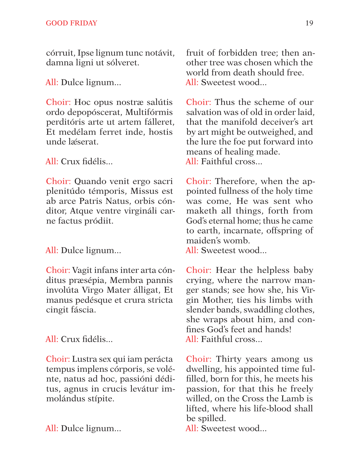córruit, Ipse lignum tunc notávit, damna ligni ut sólveret.

All: Dulce lignum...

Choir: Hoc opus nostræ salútis ordo depopóscerat, Multifórmis perditóris arte ut artem fálleret, Et medélam ferret inde, hostis unde læ´serat.

All: Crux fidélis...

Choir: Quando venit ergo sacri plenitúdo témporis, Missus est ab arce Patris Natus, orbis cónditor, Atque ventre virgináli carne factus pródiit.

All: Dulce lignum...

Choir: Vagit infans inter arta cónditus præsépia, Membra pannis involúta Virgo Mater álligat, Et manus pedésque et crura stricta cingit fáscia.

All: Crux fidélis...

Choir: Lustra sex qui iam perácta tempus implens córporis, se volénte, natus ad hoc, passióni déditus, agnus in crucis levátur immolándus stípite.

All: Dulce lignum...

fruit of forbidden tree; then another tree was chosen which the world from death should free. All: Sweetest wood...

Choir: Thus the scheme of our salvation was of old in order laid, that the manifold deceiver's art by art might be outweighed, and the lure the foe put forward into means of healing made. All: Faithful cross...

Choir: Therefore, when the appointed fullness of the holy time was come, He was sent who maketh all things, forth from God's eternal home; thus he came to earth, incarnate, offspring of maiden's womb.

All: Sweetest wood...

Choir: Hear the helpless baby crying, where the narrow manger stands; see how she, his Virgin Mother, ties his limbs with slender bands, swaddling clothes, she wraps about him, and confines God's feet and hands! All: Faithful cross...

Choir: Thirty years among us dwelling, his appointed time fulfilled, born for this, he meets his passion, for that this he freely willed, on the Cross the Lamb is lifted, where his life-blood shall be spilled.

All: Sweetest wood...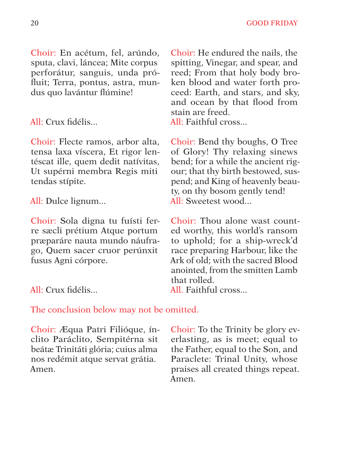20 GOOD FRIDAY

Choir: En acétum, fel, arúndo, sputa, clavi, láncea; Mite corpus perforátur, sanguis, unda prófluit; Terra, pontus, astra, mundus quo lavántur flúmine!

All: Crux fidélis...

Choir: Flecte ramos, arbor alta, tensa laxa víscera, Et rigor lentéscat ille, quem dedit natívitas, Ut supérni membra Regis miti tendas stípite.

All: Dulce lignum...

Choir: Sola digna tu fuísti ferre sæcli prétium Atque portum præparáre nauta mundo náufrago, Quem sacer cruor perúnxit fusus Agni córpore.

Choir: He endured the nails, the spitting, Vinegar, and spear, and reed; From that holy body broken blood and water forth proceed: Earth, and stars, and sky, and ocean by that flood from stain are freed. All: Faithful cross...

Choir: Bend thy boughs, O Tree of Glory! Thy relaxing sinews bend; for a while the ancient rigour; that thy birth bestowed, suspend; and King of heavenly beauty, on thy bosom gently tend! All: Sweetest wood...

Choir: Thou alone wast counted worthy, this world's ransom to uphold; for a ship-wreck'd race preparing Harbour, like the Ark of old; with the sacred Blood anointed, from the smitten Lamb that rolled. All. Faithful cross...

All: Crux fidélis...

The conclusion below may not be omitted.

Choir: Æqua Patri Filióque, ínclito Paráclito, Sempitérna sit beátæ Trinitáti glória; cuius alma nos redémit atque servat grátia. Amen.

Choir: To the Trinity be glory everlasting, as is meet; equal to the Father, equal to the Son, and Paraclete: Trinal Unity, whose praises all created things repeat. Amen.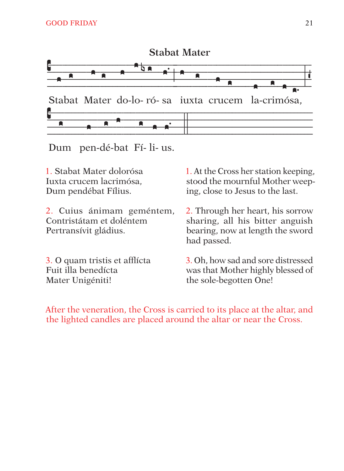

Dum pen-dé-bat Fí- li- us.

1. Stabat Mater dolorósa Iuxta crucem lacrimósa, Dum pendébat Fílius.

2. Cuius ánimam geméntem, Contristátam et doléntem Pertransívit gládius.

3. O quam tristis et afflícta Fuit illa benedícta Mater Unigéniti!

1. At the Cross her station keeping, stood the mournful Mother weeping, close to Jesus to the last.

2. Through her heart, his sorrow sharing, all his bitter anguish bearing, now at length the sword had passed.

3. Oh, how sad and sore distressed was that Mother highly blessed of the sole-begotten One!

After the veneration, the Cross is carried to its place at the altar, and the lighted candles are placed around the altar or near the Cross.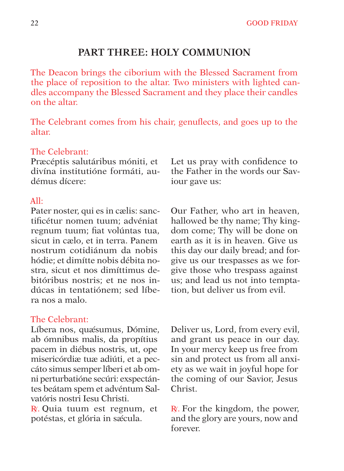22 GOOD FRIDAY

# **PART THREE: HOLY COMMUNION**

The Deacon brings the ciborium with the Blessed Sacrament from the place of reposition to the altar. Two ministers with lighted candles accompany the Blessed Sacrament and they place their candles on the altar.

The Celebrant comes from his chair, genuflects, and goes up to the altar.

# The Celebrant:

Præcéptis salutáribus móniti, et divína institutióne formáti, audémus dícere:

## All:

Pater noster, qui es in cælis: sanctificétur nomen tuum; advéniat regnum tuum; fiat volúntas tua, sicut in cælo, et in terra. Panem nostrum cotidiánum da nobis hódie; et dimítte nobis débita nostra, sicut et nos dimíttimus debitóribus nostris; et ne nos indúcas in tentatiónem; sed líbera nos a malo.

#### The Celebrant:

Líbera nos, quǽsumus, Dómine, ab ómnibus malis, da propítius pacem in diébus nostris, ut, ope misericórdiæ tuæ adiúti, et a peccáto simus semper líberi et ab omni perturbatióne secúri: exspectántes beátam spem et advéntum Salvatóris nostri Iesu Christi.

R∫. Quia tuum est regnum, et potéstas, et glória in sæ´cula.

Let us pray with confidence to the Father in the words our Saviour gave us:

Our Father, who art in heaven, hallowed be thy name; Thy kingdom come; Thy will be done on earth as it is in heaven. Give us this day our daily bread; and forgive us our trespasses as we forgive those who trespass against us; and lead us not into temptation, but deliver us from evil.

Deliver us, Lord, from every evil, and grant us peace in our day. In your mercy keep us free from sin and protect us from all anxiety as we wait in joyful hope for the coming of our Savior, Jesus Christ.

R. For the kingdom, the power, and the glory are yours, now and forever.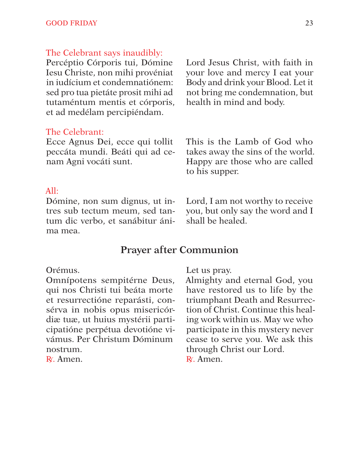#### The Celebrant says inaudibly:

Percéptio Córporis tui, Dómine Iesu Christe, non mihi provéniat in iudícium et condemnatiónem: sed pro tua pietáte prosit mihi ad tutaméntum mentis et córporis, et ad medélam percipiéndam.

## The Celebrant:

Ecce Agnus Dei, ecce qui tollit peccáta mundi. Beáti qui ad cenam Agni vocáti sunt.

All:

Dómine, non sum dignus, ut intres sub tectum meum, sed tantum dic verbo, et sanábitur ánima mea.

# **Prayer after Communion**

Orémus.

Omnípotens sempitérne Deus, qui nos Christi tui beáta morte et resurrectióne reparásti, consérva in nobis opus misericórdiæ tuæ, ut huius mystérii participatióne perpétua devotióne vivámus. Per Christum Dóminum nostrum.

R<sup>∫</sup> . Amen.

Let us pray.

Almighty and eternal God, you have restored us to life by the triumphant Death and Resurrection of Christ. Continue this healing work within us. May we who participate in this mystery never cease to serve you. We ask this through Christ our Lord. R<sup>∫</sup> . Amen.

Lord Jesus Christ, with faith in your love and mercy I eat your Body and drink your Blood. Let it not bring me condemnation, but health in mind and body.

This is the Lamb of God who takes away the sins of the world. Happy are those who are called to his supper.

Lord, I am not worthy to receive you, but only say the word and I shall be healed.